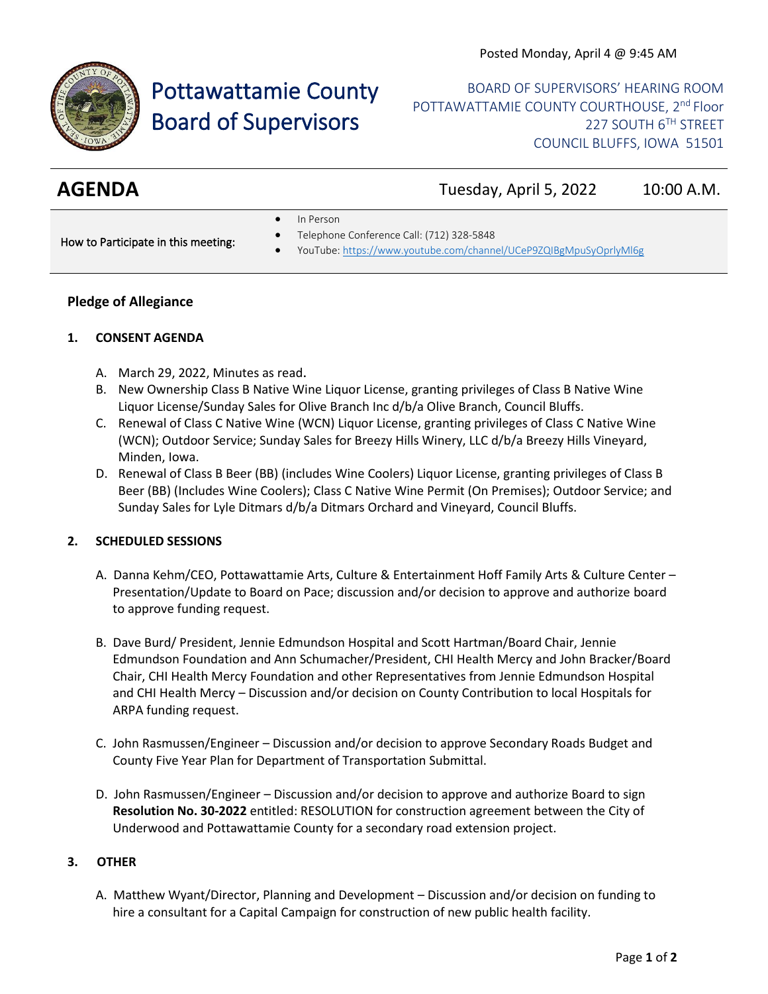

# Pottawattamie County Board of Supervisors

BOARD OF SUPERVISORS' HEARING ROOM POTTAWATTAMIE COUNTY COURTHOUSE, 2<sup>nd</sup> Floor 227 SOUTH 6TH STREET COUNCIL BLUFFS, IOWA 51501

**AGENDA** Tuesday, April 5, 2022 10:00 A.M.

• In Person

How to Participate in this meeting:

- Telephone Conference Call: (712) 328-5848
- YouTube[: https://www.youtube.com/channel/UCeP9ZQIBgMpuSyOprlyMl6g](https://www.youtube.com/channel/UCeP9ZQIBgMpuSyOprlyMl6g)

### **Pledge of Allegiance**

#### **1. CONSENT AGENDA**

- A. March 29, 2022, Minutes as read.
- B. New Ownership Class B Native Wine Liquor License, granting privileges of Class B Native Wine Liquor License/Sunday Sales for Olive Branch Inc d/b/a Olive Branch, Council Bluffs.
- C. Renewal of Class C Native Wine (WCN) Liquor License, granting privileges of Class C Native Wine (WCN); Outdoor Service; Sunday Sales for Breezy Hills Winery, LLC d/b/a Breezy Hills Vineyard, Minden, Iowa.
- D. Renewal of Class B Beer (BB) (includes Wine Coolers) Liquor License, granting privileges of Class B Beer (BB) (Includes Wine Coolers); Class C Native Wine Permit (On Premises); Outdoor Service; and Sunday Sales for Lyle Ditmars d/b/a Ditmars Orchard and Vineyard, Council Bluffs.

#### **2. SCHEDULED SESSIONS**

- A. Danna Kehm/CEO, Pottawattamie Arts, Culture & Entertainment Hoff Family Arts & Culture Center Presentation/Update to Board on Pace; discussion and/or decision to approve and authorize board to approve funding request.
- B. Dave Burd/ President, Jennie Edmundson Hospital and Scott Hartman/Board Chair, Jennie Edmundson Foundation and Ann Schumacher/President, CHI Health Mercy and John Bracker/Board Chair, CHI Health Mercy Foundation and other Representatives from Jennie Edmundson Hospital and CHI Health Mercy – Discussion and/or decision on County Contribution to local Hospitals for ARPA funding request.
- C. John Rasmussen/Engineer Discussion and/or decision to approve Secondary Roads Budget and County Five Year Plan for Department of Transportation Submittal.
- D. John Rasmussen/Engineer Discussion and/or decision to approve and authorize Board to sign **Resolution No. 30-2022** entitled: RESOLUTION for construction agreement between the City of Underwood and Pottawattamie County for a secondary road extension project.

#### **3. OTHER**

A. Matthew Wyant/Director, Planning and Development – Discussion and/or decision on funding to hire a consultant for a Capital Campaign for construction of new public health facility.